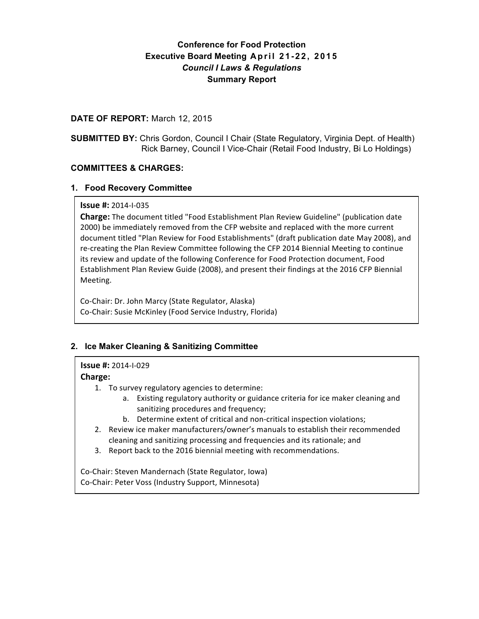# **Conference for Food Protection Executive Board Meeting April 21 - 22, 2015** *Council I Laws & Regulations* **Summary Report**

## **DATE OF REPORT:** March 12, 2015

**SUBMITTED BY:** Chris Gordon, Council I Chair (State Regulatory, Virginia Dept. of Health) Rick Barney, Council I Vice-Chair (Retail Food Industry, Bi Lo Holdings)

## **COMMITTEES & CHARGES:**

## **1. Food Recovery Committee**

### **Issue #:** 2014-I-035

**Charge:** The document titled "Food Establishment Plan Review Guideline" (publication date 2000) be immediately removed from the CFP website and replaced with the more current document titled "Plan Review for Food Establishments" (draft publication date May 2008), and re-creating the Plan Review Committee following the CFP 2014 Biennial Meeting to continue its review and update of the following Conference for Food Protection document, Food Establishment Plan Review Guide (2008), and present their findings at the 2016 CFP Biennial Meeting.

Co-Chair: Dr. John Marcy (State Regulator, Alaska) Co-Chair: Susie McKinley (Food Service Industry, Florida)

## **2. Ice Maker Cleaning & Sanitizing Committee**

## **Issue #:** 2014-I-029

## **Charge:**

- 1. To survey regulatory agencies to determine:
	- a. Existing regulatory authority or guidance criteria for ice maker cleaning and sanitizing procedures and frequency;
	- b. Determine extent of critical and non-critical inspection violations;
- 2. Review ice maker manufacturers/owner's manuals to establish their recommended cleaning and sanitizing processing and frequencies and its rationale; and
- 3. Report back to the 2016 biennial meeting with recommendations.

Co-Chair: Steven Mandernach (State Regulator, Iowa) Co-Chair: Peter Voss (Industry Support, Minnesota)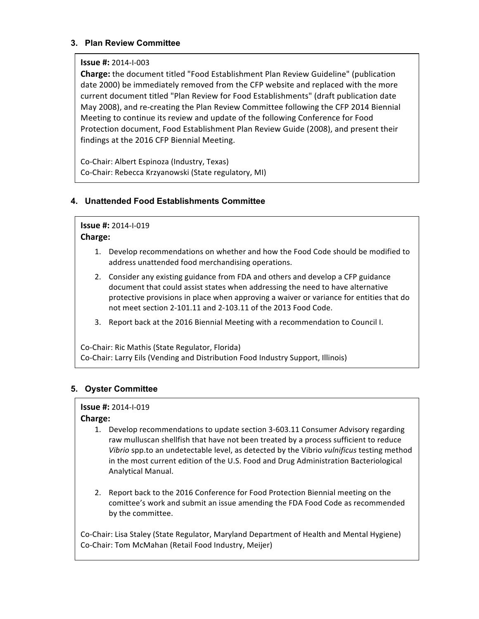## **3. Plan Review Committee**

### **Issue #:** 2014-I-003

**Charge:** the document titled "Food Establishment Plan Review Guideline" (publication date 2000) be immediately removed from the CFP website and replaced with the more current document titled "Plan Review for Food Establishments" (draft publication date May 2008), and re-creating the Plan Review Committee following the CFP 2014 Biennial Meeting to continue its review and update of the following Conference for Food Protection document, Food Establishment Plan Review Guide (2008), and present their findings at the 2016 CFP Biennial Meeting.

Co-Chair: Albert Espinoza (Industry, Texas) Co-Chair: Rebecca Krzyanowski (State regulatory, MI)

## **4. Unattended Food Establishments Committee**

## **Issue #:** 2014-I-019

### **Charge:**

- 1. Develop recommendations on whether and how the Food Code should be modified to address unattended food merchandising operations.
- 2. Consider any existing guidance from FDA and others and develop a CFP guidance document that could assist states when addressing the need to have alternative protective provisions in place when approving a waiver or variance for entities that do not meet section 2-101.11 and 2-103.11 of the 2013 Food Code.
- 3. Report back at the 2016 Biennial Meeting with a recommendation to Council I.

Co-Chair: Ric Mathis (State Regulator, Florida) Co-Chair: Larry Eils (Vending and Distribution Food Industry Support, Illinois)

## **5. Oyster Committee**

#### **Issue #:** 2014-I-019

## **Charge:**

- 1. Develop recommendations to update section 3-603.11 Consumer Advisory regarding raw mulluscan shellfish that have not been treated by a process sufficient to reduce Vibrio spp.to an undetectable level, as detected by the Vibrio *vulnificus* testing method in the most current edition of the U.S. Food and Drug Administration Bacteriological Analytical Manual.
- 2. Report back to the 2016 Conference for Food Protection Biennial meeting on the comittee's work and submit an issue amending the FDA Food Code as recommended by the committee.

Co-Chair: Lisa Staley (State Regulator, Maryland Department of Health and Mental Hygiene) Co-Chair: Tom McMahan (Retail Food Industry, Meijer)